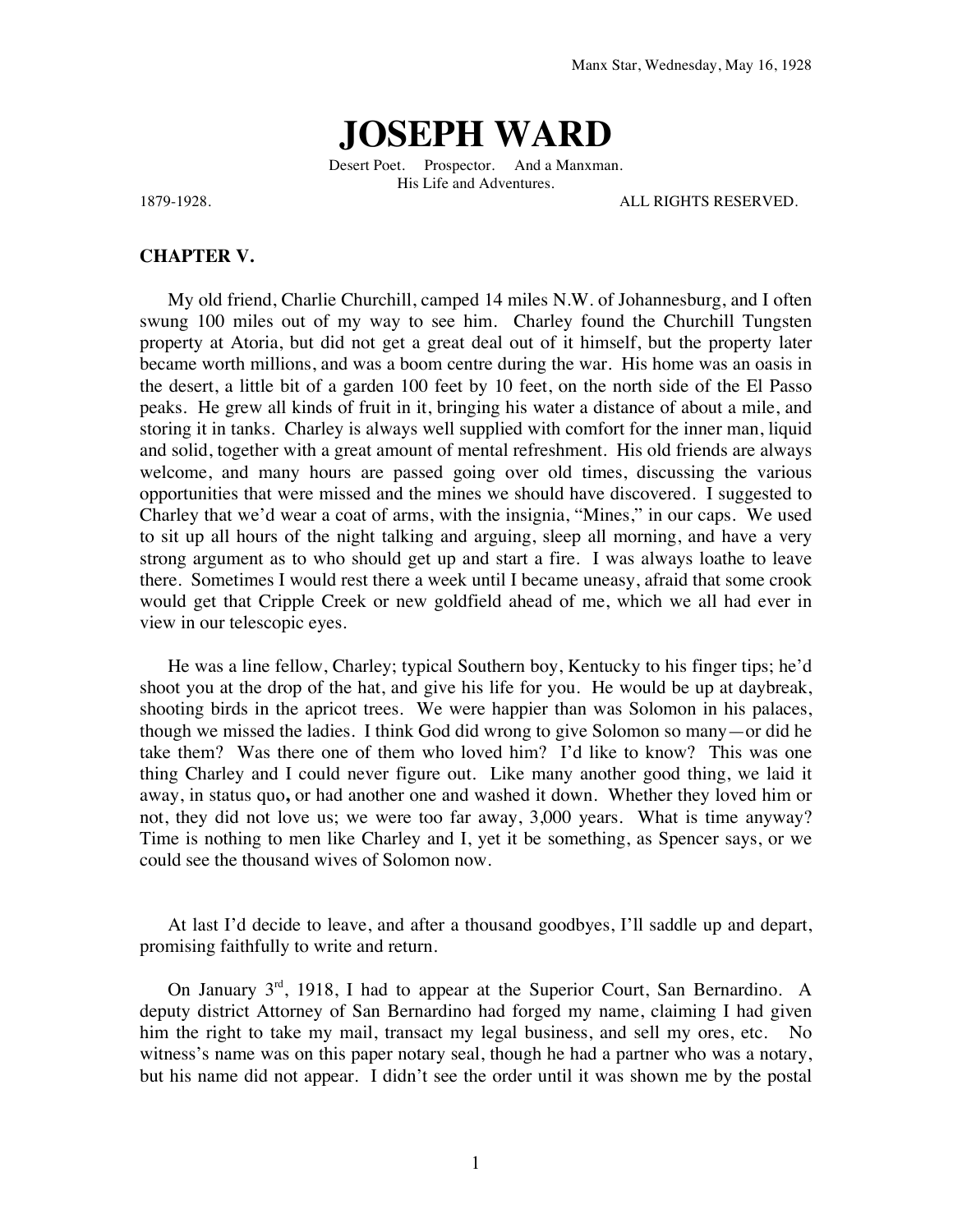## **JOSEPH WARD**

Desert Poet. Prospector. And a Manxman. His Life and Adventures.

1879-1928. ALL RIGHTS RESERVED.

## **CHAPTER V.**

My old friend, Charlie Churchill, camped 14 miles N.W. of Johannesburg, and I often swung 100 miles out of my way to see him. Charley found the Churchill Tungsten property at Atoria, but did not get a great deal out of it himself, but the property later became worth millions, and was a boom centre during the war. His home was an oasis in the desert, a little bit of a garden 100 feet by 10 feet, on the north side of the El Passo peaks. He grew all kinds of fruit in it, bringing his water a distance of about a mile, and storing it in tanks. Charley is always well supplied with comfort for the inner man, liquid and solid, together with a great amount of mental refreshment. His old friends are always welcome, and many hours are passed going over old times, discussing the various opportunities that were missed and the mines we should have discovered. I suggested to Charley that we'd wear a coat of arms, with the insignia, "Mines," in our caps. We used to sit up all hours of the night talking and arguing, sleep all morning, and have a very strong argument as to who should get up and start a fire. I was always loathe to leave there. Sometimes I would rest there a week until I became uneasy, afraid that some crook would get that Cripple Creek or new goldfield ahead of me, which we all had ever in view in our telescopic eyes.

He was a line fellow, Charley; typical Southern boy, Kentucky to his finger tips; he'd shoot you at the drop of the hat, and give his life for you. He would be up at daybreak, shooting birds in the apricot trees. We were happier than was Solomon in his palaces, though we missed the ladies. I think God did wrong to give Solomon so many—or did he take them? Was there one of them who loved him? I'd like to know? This was one thing Charley and I could never figure out. Like many another good thing, we laid it away, in status quo**,** or had another one and washed it down. Whether they loved him or not, they did not love us; we were too far away, 3,000 years. What is time anyway? Time is nothing to men like Charley and I, yet it be something, as Spencer says, or we could see the thousand wives of Solomon now.

At last I'd decide to leave, and after a thousand goodbyes, I'll saddle up and depart, promising faithfully to write and return.

On January  $3<sup>rd</sup>$ , 1918, I had to appear at the Superior Court, San Bernardino. A deputy district Attorney of San Bernardino had forged my name, claiming I had given him the right to take my mail, transact my legal business, and sell my ores, etc. No witness's name was on this paper notary seal, though he had a partner who was a notary, but his name did not appear. I didn't see the order until it was shown me by the postal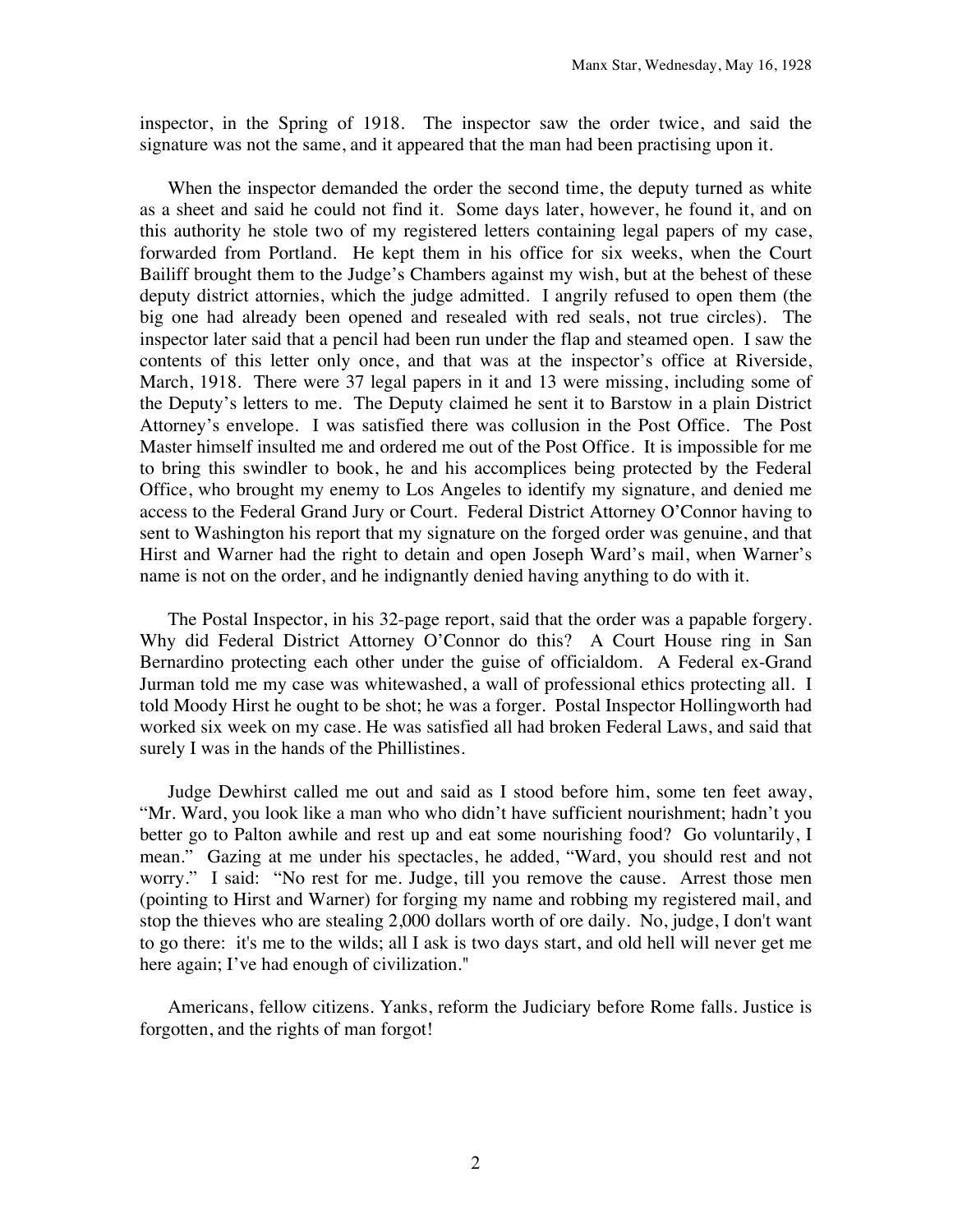inspector, in the Spring of 1918. The inspector saw the order twice, and said the signature was not the same, and it appeared that the man had been practising upon it.

When the inspector demanded the order the second time, the deputy turned as white as a sheet and said he could not find it. Some days later, however, he found it, and on this authority he stole two of my registered letters containing legal papers of my case, forwarded from Portland. He kept them in his office for six weeks, when the Court Bailiff brought them to the Judge's Chambers against my wish, but at the behest of these deputy district attornies, which the judge admitted. I angrily refused to open them (the big one had already been opened and resealed with red seals, not true circles). The inspector later said that a pencil had been run under the flap and steamed open. I saw the contents of this letter only once, and that was at the inspector's office at Riverside, March, 1918. There were 37 legal papers in it and 13 were missing, including some of the Deputy's letters to me. The Deputy claimed he sent it to Barstow in a plain District Attorney's envelope. I was satisfied there was collusion in the Post Office. The Post Master himself insulted me and ordered me out of the Post Office. It is impossible for me to bring this swindler to book, he and his accomplices being protected by the Federal Office, who brought my enemy to Los Angeles to identify my signature, and denied me access to the Federal Grand Jury or Court. Federal District Attorney O'Connor having to sent to Washington his report that my signature on the forged order was genuine, and that Hirst and Warner had the right to detain and open Joseph Ward's mail, when Warner's name is not on the order, and he indignantly denied having anything to do with it.

The Postal Inspector, in his 32-page report, said that the order was a papable forgery. Why did Federal District Attorney O'Connor do this? A Court House ring in San Bernardino protecting each other under the guise of officialdom. A Federal ex-Grand Jurman told me my case was whitewashed, a wall of professional ethics protecting all. I told Moody Hirst he ought to be shot; he was a forger. Postal Inspector Hollingworth had worked six week on my case. He was satisfied all had broken Federal Laws, and said that surely I was in the hands of the Phillistines.

Judge Dewhirst called me out and said as I stood before him, some ten feet away, "Mr. Ward, you look like a man who who didn't have sufficient nourishment; hadn't you better go to Palton awhile and rest up and eat some nourishing food? Go voluntarily, I mean." Gazing at me under his spectacles, he added, "Ward, you should rest and not worry." I said: "No rest for me. Judge, till you remove the cause. Arrest those men (pointing to Hirst and Warner) for forging my name and robbing my registered mail, and stop the thieves who are stealing 2,000 dollars worth of ore daily. No, judge, I don't want to go there: it's me to the wilds; all I ask is two days start, and old hell will never get me here again; I've had enough of civilization."

Americans, fellow citizens. Yanks, reform the Judiciary before Rome falls. Justice is forgotten, and the rights of man forgot!